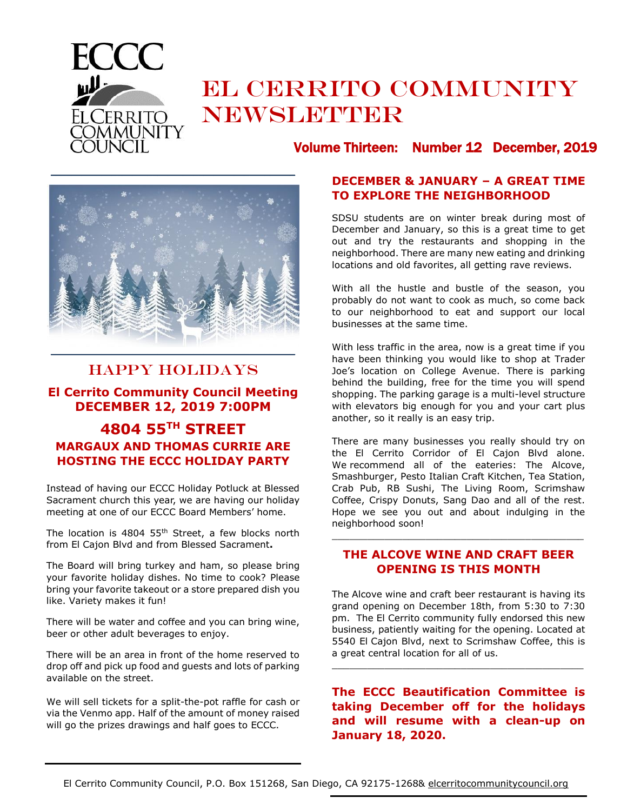

# EL CERRITO COMMUNITY **NEWSLETTER**



# HAPPY HOLIDAYS

# **El Cerrito Community Council Meeting DECEMBER 12, 2019 7:00PM**

# **4804 55TH STREET MARGAUX AND THOMAS CURRIE ARE HOSTING THE ECCC HOLIDAY PARTY**

Instead of having our ECCC Holiday Potluck at Blessed Sacrament church this year, we are having our holiday meeting at one of our ECCC Board Members' home.

The location is 4804 55<sup>th</sup> Street, a few blocks north from El Cajon Blvd and from Blessed Sacrament**.**

The Board will bring turkey and ham, so please bring your favorite holiday dishes. No time to cook? Please bring your favorite takeout or a store prepared dish you like. Variety makes it fun!

There will be water and coffee and you can bring wine, beer or other adult beverages to enjoy.

There will be an area in front of the home reserved to drop off and pick up food and guests and lots of parking available on the street.

We will sell tickets for a split-the-pot raffle for cash or via the Venmo app. Half of the amount of money raised will go the prizes drawings and half goes to ECCC.

# Volume Thirteen: Number 12 December, 2019

# **DECEMBER & JANUARY – A GREAT TIME TO EXPLORE THE NEIGHBORHOOD**

SDSU students are on winter break during most of December and January, so this is a great time to get out and try the restaurants and shopping in the neighborhood. There are many new eating and drinking locations and old favorites, all getting rave reviews.

With all the hustle and bustle of the season, you probably do not want to cook as much, so come back to our neighborhood to eat and support our local businesses at the same time.

With less traffic in the area, now is a great time if you have been thinking you would like to shop at Trader Joe's location on College Avenue. There is parking behind the building, free for the time you will spend shopping. The parking garage is a multi-level structure with elevators big enough for you and your cart plus another, so it really is an easy trip.

There are many businesses you really should try on the El Cerrito Corridor of El Cajon Blvd alone. We recommend all of the eateries: The Alcove, Smashburger, Pesto Italian Craft Kitchen, Tea Station, Crab Pub, RB Sushi, The Living Room, Scrimshaw Coffee, Crispy Donuts, Sang Dao and all of the rest. Hope we see you out and about indulging in the neighborhood soon!

## **THE ALCOVE WINE AND CRAFT BEER OPENING IS THIS MONTH**

\_\_\_\_\_\_\_\_\_\_\_\_\_\_\_\_\_\_\_\_\_\_\_\_\_\_\_\_\_\_\_\_\_\_\_\_\_\_\_\_\_\_\_

The Alcove wine and craft beer restaurant is having its grand opening on December 18th, from 5:30 to 7:30 pm. The El Cerrito community fully endorsed this new business, patiently waiting for the opening. Located at 5540 El Cajon Blvd, next to Scrimshaw Coffee, this is a great central location for all of us.

\_\_\_\_\_\_\_\_\_\_\_\_\_\_\_\_\_\_\_\_\_\_\_\_\_\_\_\_\_\_\_\_\_\_\_\_\_\_\_\_\_\_\_

**The ECCC Beautification Committee is taking December off for the holidays and will resume with a clean-up on January 18, 2020.**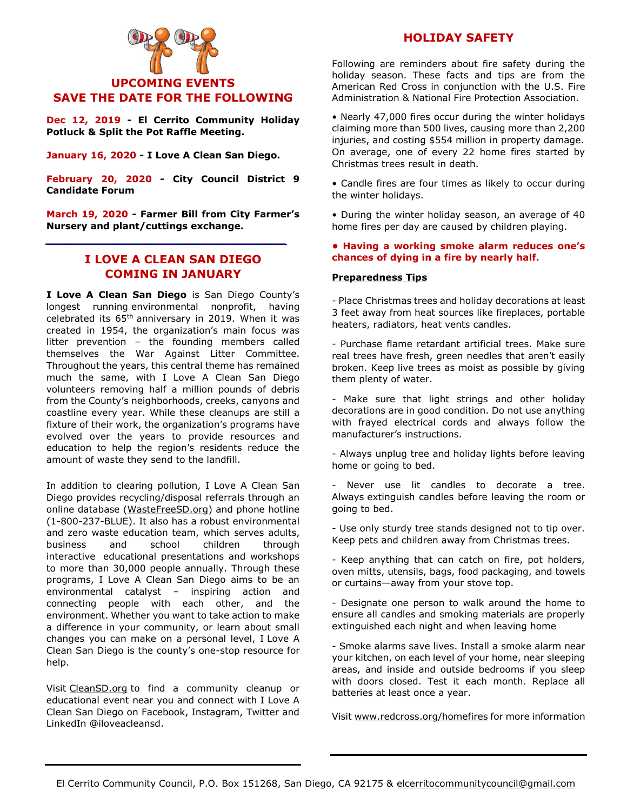

**Dec 12, 2019 - El Cerrito Community Holiday Potluck & Split the Pot Raffle Meeting.**

**January 16, 2020 - I Love A Clean San Diego.**

**February 20, 2020 - City Council District 9 Candidate Forum**

**March 19, 2020 - Farmer Bill from City Farmer's Nursery and plant/cuttings exchange.** 

*\_\_\_\_\_\_\_\_\_\_\_\_\_\_\_\_\_\_\_\_\_\_\_\_\_\_\_\_\_\_*

# **I LOVE A CLEAN SAN DIEGO COMING IN JANUARY**

**I Love A Clean San Diego** is San Diego County's longest running environmental nonprofit, having celebrated its 65th anniversary in 2019. When it was created in 1954, the organization's main focus was litter prevention – the founding members called themselves the War Against Litter Committee. Throughout the years, this central theme has remained much the same, with I Love A Clean San Diego volunteers removing half a million pounds of debris from the County's neighborhoods, creeks, canyons and coastline every year. While these cleanups are still a fixture of their work, the organization's programs have evolved over the years to provide resources and education to help the region's residents reduce the amount of waste they send to the landfill.

In addition to clearing pollution, I Love A Clean San Diego provides recycling/disposal referrals through an online database [\(WasteFreeSD.org\)](http://www.wastefreesd.org/) and phone hotline (1-800-237-BLUE). It also has a robust environmental and zero waste education team, which serves adults, business and school children through interactive educational presentations and workshops to more than 30,000 people annually. Through these programs, I Love A Clean San Diego aims to be an environmental catalyst – inspiring action and connecting people with each other, and the environment. Whether you want to take action to make a difference in your community, or learn about small changes you can make on a personal level, I Love A Clean San Diego is the county's one-stop resource for help.

Visit [CleanSD.org](http://www.cleansd.org/) to find a community cleanup or educational event near you and connect with I Love A Clean San Diego on Facebook, Instagram, Twitter and LinkedIn @iloveacleansd.

### **HOLIDAY SAFETY**

Following are reminders about fire safety during the holiday season. These facts and tips are from the American Red Cross in conjunction with the U.S. Fire Administration & National Fire Protection Association.

• Nearly 47,000 fires occur during the winter holidays claiming more than 500 lives, causing more than 2,200 injuries, and costing \$554 million in property damage. On average, one of every 22 home fires started by Christmas trees result in death.

• Candle fires are four times as likely to occur during the winter holidays.

• During the winter holiday season, an average of 40 home fires per day are caused by children playing.

#### **• Having a working smoke alarm reduces one's chances of dying in a fire by nearly half.**

#### **Preparedness Tips**

- Place Christmas trees and holiday decorations at least 3 feet away from heat sources like fireplaces, portable heaters, radiators, heat vents candles.

- Purchase flame retardant artificial trees. Make sure real trees have fresh, green needles that aren't easily broken. Keep live trees as moist as possible by giving them plenty of water.

- Make sure that light strings and other holiday decorations are in good condition. Do not use anything with frayed electrical cords and always follow the manufacturer's instructions.

- Always unplug tree and holiday lights before leaving home or going to bed.

- Never use lit candles to decorate a tree. Always extinguish candles before leaving the room or going to bed.

- Use only sturdy tree stands designed not to tip over. Keep pets and children away from Christmas trees.

- Keep anything that can catch on fire, pot holders, oven mitts, utensils, bags, food packaging, and towels or curtains—away from your stove top.

- Designate one person to walk around the home to ensure all candles and smoking materials are properly extinguished each night and when leaving home

- Smoke alarms save lives. Install a smoke alarm near your kitchen, on each level of your home, near sleeping areas, and inside and outside bedrooms if you sleep with doors closed. Test it each month. Replace all batteries at least once a year.

Visit [www.redcross.org/homefires](http://www.redcross.org/homefires) for more information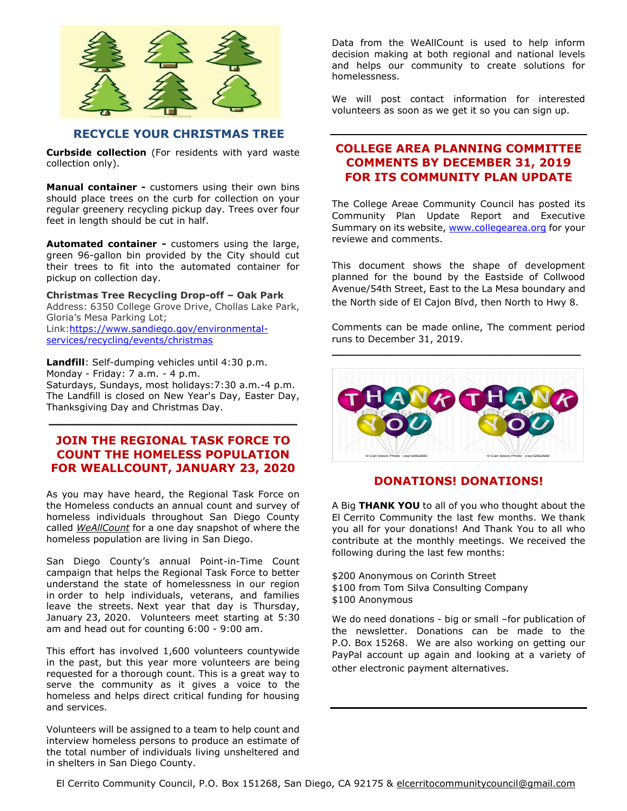

### **RECYCLE YOUR CHRISTMAS TREE**

**Curbside collection** (For residents with yard waste collection only).

**Manual container -** customers using their own bins should place trees on the curb for collection on your regular greenery recycling pickup day. Trees over four feet in length should be cut in half.

**Automated container -** customers using the large, green 96-gallon bin provided by the City should cut their trees to fit into the automated container for pickup on collection day.

**Christmas Tree Recycling Drop-off – Oak Park** Address: 6350 College Grove Drive, Chollas Lake Park, Gloria's Mesa Parking Lot; Link[:https://www.sandiego.gov/environmental](https://www.sandiego.gov/environmental-services/recycling/events/christmas)[services/recycling/events/christmas](https://www.sandiego.gov/environmental-services/recycling/events/christmas)

**Landfill**: Self-dumping vehicles until 4:30 p.m. Monday - Friday: 7 a.m. - 4 p.m. Saturdays, Sundays, most holidays:7:30 a.m.-4 p.m. The Landfill is closed on New Year's Day, Easter Day, Thanksgiving Day and Christmas Day.

**\_\_\_\_\_\_\_\_\_\_\_\_\_\_\_\_\_\_\_\_\_\_\_\_\_\_\_\_\_\_\_**

# **JOIN THE REGIONAL TASK FORCE TO COUNT THE HOMELESS POPULATION FOR WEALLCOUNT, JANUARY 23, 2020**

As you may have heard, the Regional Task Force on the Homeless conducts an annual count and survey of homeless individuals throughout San Diego County called *WeAllCount* [for a one day snapshot of where the](https://www.facebook.com/events/105739766570876/)  homeless population [are living in San Diego.](https://www.facebook.com/events/105739766570876/)

San Diego County's annual Point-in-Time Count campaign that helps the Regional Task Force to better understand the state of homelessness in our region in order to help individuals, veterans, and families leave the streets. Next year that day is Thursday, January 23, 2020. Volunteers meet starting at 5:30 am and head out for counting 6:00 - 9:00 am.

This effort has involved 1,600 volunteers countywide in the past, but this year more volunteers are being requested for a thorough count. This is a great way to serve the community as it gives a voice to the homeless and helps direct critical funding for housing and services.

Volunteers will be assigned to a team to help count and interview homeless persons to produce an estimate of the total number of individuals living unsheltered and in shelters in San Diego County.

Data from the WeAllCount is used to help inform decision making at both regional and national levels and helps our community to create solutions for homelessness.

We will post contact information for interested volunteers as soon as we get it so you can sign up.

# **COLLEGE AREA PLANNING COMMITTEE COMMENTS BY DECEMBER 31, 2019 FOR ITS COMMUNITY PLAN UPDATE**

The College Areae Community Council has posted its Community Plan Update Report and Executive Summary on its website, [www.collegearea.org](http://www.collegeare.org/) for your reviewe and comments.

This document shows the shape of development planned for the bound by the Eastside of Collwood Avenue/54th Street, East to the La Mesa boundary and the North side of El Cajon Blvd, then North to Hwy 8.

Comments can be made online, The comment period runs to December 31, 2019.



### **DONATIONS! DONATIONS!**

A Big **THANK YOU** to all of you who thought about the El Cerrito Community the last few months. We thank you all for your donations! And Thank You to all who contribute at the monthly meetings. We received the following during the last few months:

\$200 Anonymous on Corinth Street \$100 from Tom Silva Consulting Company \$100 Anonymous

We do need donations - big or small –for publication of the newsletter. Donations can be made to the P.O. Box 15268. We are also working on getting our PayPal account up again and looking at a variety of other electronic payment alternatives.

El Cerrito Community Council, P.O. Box 151268, San Diego, CA 92175 & elcerritocommunitycouncil@gmail.com